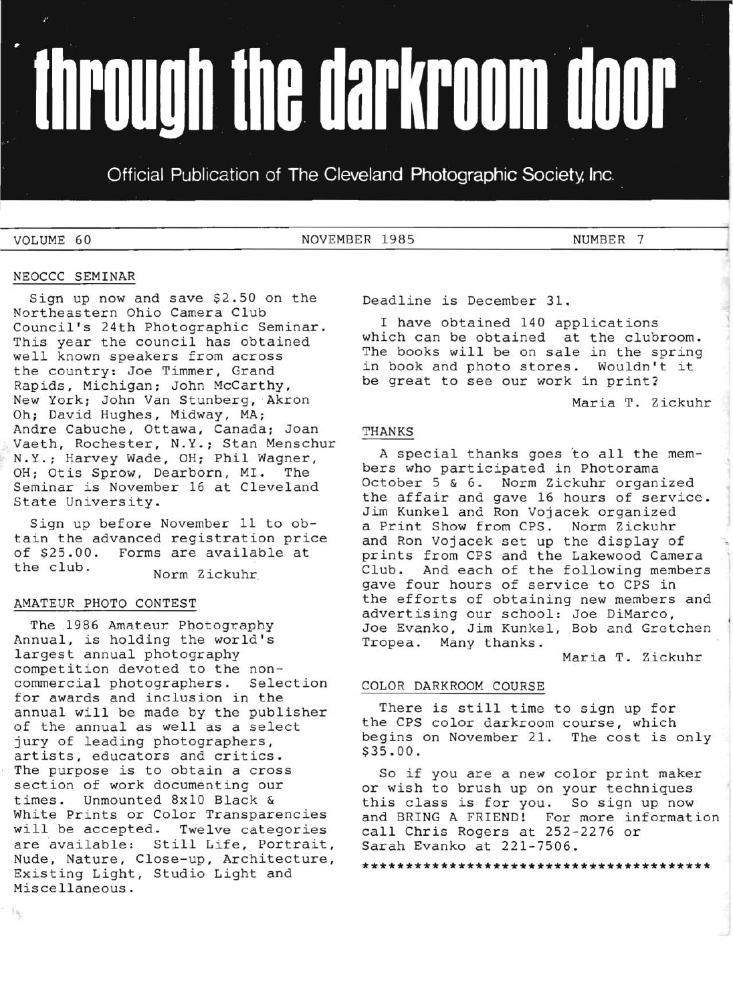# **Through the darkroom door**

Official Publication of The Cleveland Photographic Society, Inc.

VOLUME 60 NOVEMBER 1985 NOVEMBER 7

# NEOCCC SEMINAR

Sign up now and save \$2.50 on the Northeastern Ohio Camera Club Council's 24th Photographic Seminar. This year the council has obtained well known speakers from across the country: Joe Timmer, Grand Rapids, Michigan; John McCarthy, New York; John Van Stunberg, Akron Oh; David Hughes, Midway, MA; Andre Cabuche, Ottawa, Canada; Joan Vaeth, Rochester, N.Y.; Stan Menschur N.Y.; Harvey Wade, OH; Phil Wagner,<br>OH: Otis Sprow, Dearborn, MI. The OH; Otis Sprow, Dearborn, MI. Seminar is November 16 at Cleveland State University.

Sign up before November 11 to obtain the advanced registration price of \$25.00. Forms are available at<br>the club. Norm Zickuhr

# AMATEUR PHOTO CONTEST

 $\frac{1}{2}$ 

The 1986 Amateur. Photography Annual, is holding the world's largest annual photography competition devoted to the noncommercial photographers. Selection for awards and inclusion in the annual will be made by the publisher of the annual as well as a select jury of leading photographers, artists, educators and critics. The purpose is to obtain a cross section of work documenting our times. Unmounted 8x10 Black & White Prints or Color Transparencies will be accepted. Twelve categories are available: Still Life, Portrait, Nude, Nature, Close-up, Architecture, Existing Light, Studio Light and Miscellaneous.

Deadline is December 31.

I have obtained 140 applications which can be obtained at the clubroom. The books will be on sale in the spring in book and photo stores. Wouldn't it be great to see our work in print?

Maria T. Zickuhr

# THANKS

A special thanks goes to all the members who participated in Photorama October 5 & 6. Norm Zickuhr organized the affair and gave 16 hours of service. Jim Kunkel and Ron Vojacek organized a Print Show from CPS. Norm Zickuhr and Ron Vojacek set up the display of prints from CPS and the Lakewood Camera Club. And each of the following members gave four hours of service to CPS in the efforts of obtaining new members and advertising our school: Joe DiMarco, Joe Evanko, Jim Kunkel, Bob and Gretchen Tropea. Many thanks.

Maria T. Zickuhr

# COLOR DARKROOM COURSE

There is still time to sign up for the CPS color darkroom course, which begins on November 21. The cost is only \$35.00.

So if you are a new color print maker or wish to brush up on your techniques this class is for you. So sign up now and BRING A FRIEND! For more information call Chris Rogers at 252-2276 or Sarah Evanko at 221-7506.

**\*\*\*\*\*\*\*\*\*\*\*\*\*\*\*\*\*\*\*\*\*\*\*\*\*\*\*\*\*\*\*\*\*\*\*\*\*\*\*\***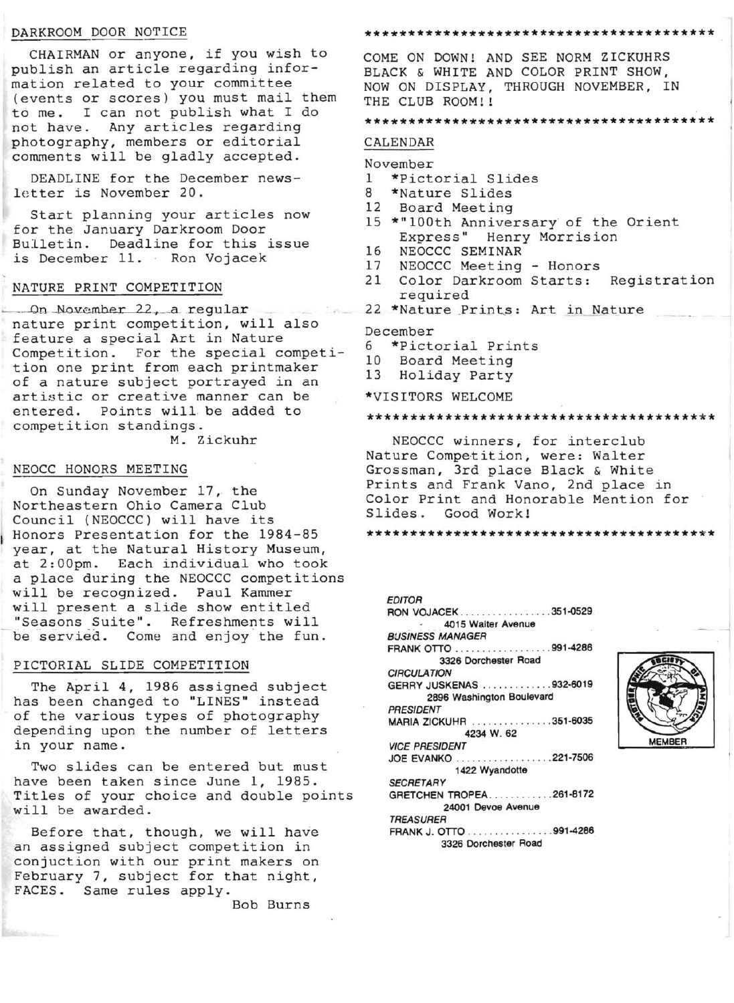## DARKROOM DOOR NOTICE

CHAIRMAN or anyone, if you wish to publish an article regarding information related to your committee (events or scores) you must mail them to me. I can not publish what I do not have. Any articles regarding photography, members or editorial comments will be gladly accepted.

DEADLINE for the December news letter is November 20.

Start planning your articles now for the January Darkroom Door Bulletin. Deadline for this issue is December 11. Ron Vojacek

# NATURE PRINT COMPETITION

On November 22, a regular nature print competition, will also feature a special Art in Nature Competition. For the special competition one print from each printmaker of a nature subject portrayed in an artistic or creative manner can be entered. Points will be added to competition standings .

M. Zickuhr

# NEOCC HONORS MEETING

On Sunday November 17, the Northeastern Ohio Camera Club Council (NEOCCC) will have its Honors Presentation for the 1984-85 year, at the Natural History Museum, at 2:00pm. Each individual who took a place during the NEOCCC competitions will be recognized. Paul Kammer will present a slide show entitled "Seasons Suite". Refreshments will be servied. Come and enjoy the fun.

## PICTORIAL SLIDE COMPETITION

The April 4, 1986 assigned subject has been changed to "LINES" instead of the various types of photography depending upon the number of letters in your name.

Two slides can be entered but must have been taken since June 1, 1985. Titles of your choice and double points will be awarded.

Before that, though, we will have an assigned subject competition in conjuction with our print makers on February 7, subject for that night, FACES. Same rules apply.

Bob Burns

### \*\*\*\*\*\*\*\*\*\*\*\*\*\*\*\*\*\*\*\*\*\*\*\*\*\*\*\*\*\*\*\*\*\*\*\*\*\*\*\*

COME ON DOWN! AND SEE NORM ZICKUHRS BLACK & WHITE AND COLOR PRINT SHOW, NOW ON DISPLAY, THROUGH NOVEMBER, IN THE CLUB ROOM!!

#### \*\*\*\*\*\*\*\*\*\*\*\*\*\*\*\*\*\*\*\*\*\*\*\*\*\*\*\*\*\*\*\*\*\*\*\*\*\*\*\*

## CALENDAR

# November<br>1 \*Picte

- 1 \*Pictorial Slides<br>8 \*Nature Slides
- 8 \*Nature Slides<br>12 Board Meeting
- Board Meeting
- 15 \*"100th Anniversary of the Orient Express" Henry Morrision
- 16 NEOCCC SEMINAR<br>17 NEOCCC Meeting
- NEOCCC Meeting Honors
- 21 Color Darkroom Starts: Registration required
- 22 \*Nature Prints: Art in Nature

## December

- 6 \*Pictorial Prints
- 10 Board Meeting
- 13 Holiday Party
- \*VISITORS WELCOME

## \*\*\*\*\*\*\*\*\*\*\*\*\*\*\*\*\*\*\*\*\*\*\*\*\*\*\*\*\*\*\*\*\*\*\*\*\*\*\*\*

NEOCCC winners, for interclub Nature Competition, were: Walter Grossman, 3rd place Black & White Prints and Frank Vano, 2nd place in Color Print and Honorable Mention for Slides. Good Work!

## \*\*\*\*\*\*\*\*\*\*\*\*\*\*\*\*\*\*\*\*\*\*\*\*\*\*\*\*\*\*\*\*\*\*\*\*\*\*\*\*

EDITOR RON VOJACEK . . . ......... . ... . 351-0529 4015 Walter Avenue BVSINESS MANAGER FRANK OTTO \_. \_..... .... . ... , .991-4286 3326 Dorchester Road **CIRCULATION** GERRY JUSKENAS . . . .. \_.......932-6019 2896 Washington Boulevard PRESIDENT MARIA ZICKUHR ............. . . 351-6035 4234 W. 62 VICE PRESIDENT JOE EVANKO . . ... .. ... ........221-7506 1422 Wyandotte **SECRETARY** GRETCHEN TROPEA ............261-8172 24001 Devoe Avenue TREASURER FRANK J. OTTO .... . .. . ........ 991-4286 3326 Dorchester Road

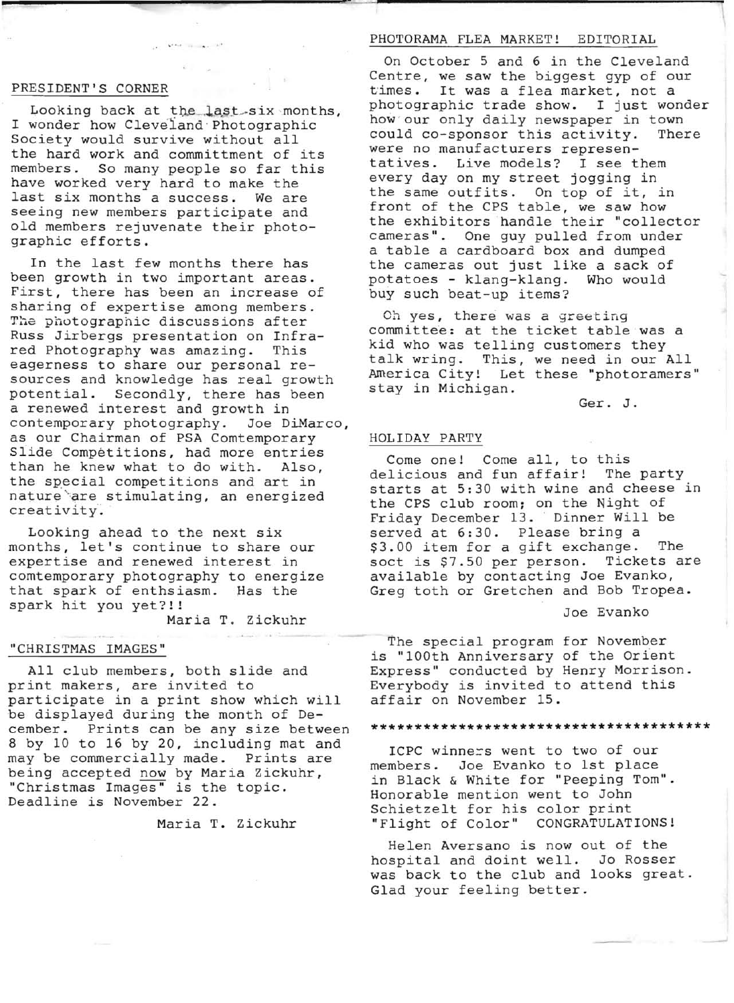# PRESIDENT'S CORNER

Looking back at the last six months, I wonder how Cleveland Photographic Society would survive without all the hard work and committment of its members. So many people so far this have worked very hard to make the last six months a success. We are seeing new members participate and old members rejuvenate their photographic efforts.

the fact the same with the

In the last few months there has been growth in two important areas. First, there has been an increase of sharing of expertise among members. The photographic discussions after Russ Jirbergs presentation on Infrared Photography was amazing. This eagerness to share our personal resources and knowledge has real growth potential. Secondly, there has been a renewed interest and growth in<br>contemporary photography. Joe DiMarco, contemporary photography. as our Chairman of PSA Comtemporary Slide Competitions, had more entries than he knew what to do with. Also, the special competitions and art in nature are stimulating, an energized creativity.

Looking ahead to the next six months, let's continue to share our expertise and renewed interest in comtemporary photography to energize that spark of enthsiasm. Has the spark hit you yet?!!

Maria T. Zickuhr

# "CHRISTMAS IMAGES"

All club members, both slide and print makers, are invited to participate in a print show which will be displayed during the month of December. Prints can be any size between 8 by 10 to 16 by 20, including mat and may be commercially made. Prints are being accepted now by Maria Zickuhr, "Christmas Images" is the topic. Deadline is November 22.

Maria T. Zickuhr

## PHOTORAMA FLEA MARKET! EDITORIAL

On October 5 and 6 in the Cleveland Centre, we saw the biggest gyp of our times. It was a flea market, not a photographic trade show. I just wonder how our only daily newspaper in town<br>could co-sponsor this activity. There could co-sponsor this activity. were no manufacturers representatives. Live models: I see them every day on my street jogging in the same outfits. On top of it, in front of the CPS table, we saw how the exhibitors handle their "collector cameras". One guy pulled from under a table a cardboard box and dumped the cameras out just like a sack of potatoes - klang-klang. Who would buy such beat-up items?

Oh yes, there was a greeting committee: at the ticket table was a kid who was telling customers they talk wring. This, we need in our All America City! Let these "photoramers" stay in Michigan.

Ger. J.

## HOLIDAY PARTY

Come one! Come all, to this<br>licious and fun affair! The party delicious and fun affair! starts at 5:30 with wine and cheese in the CPS club room; on the Night of Friday December 13. Dinner Will be served at 6:30. Please bring a \$3.00 item for a gift exchange. The soct is \$7.50 per person. Tickets are available by contacting Joe Evanko, Greg toth or Gretchen and Bob Tropea.

## Joe Evanko

The special program for November is "100th Anniversary of the Orient Express" conducted by Henry Morrison. Everybody is invited to attend this affair on November 15.

## **\*\*\*\*\*\*\*\*\*\*\*\*\*\*\*\*\*\*\*\*\*\*\*\*\*\*\*\*\*\*\*\*\*\*\*\*\*\*\***

ICPC winners went to two of our members. Joe Evanko to 1st place in Black & White for "Peeping Tom". Honorable mention went to John Schietzelt for his color print "Flight of Color" CONGRATULATIONS!

Helen Aversano is now out of the hospital and doint well. Jo Rosser was back to the club and looks great. Glad your feeling better.